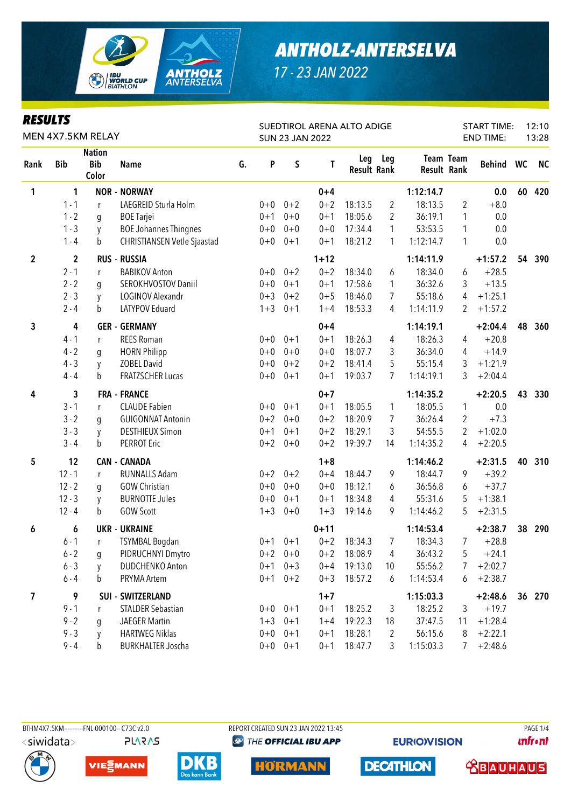

| <b>RESULTS</b><br>MEN 4X7.5KM RELAY |              |                                      |                                    |    |         |             | <b>SUN 23 JAN 2022</b> | SUEDTIROL ARENA ALTO ADIGE |              |                    |                  | <b>START TIME:</b><br><b>END TIME:</b> |    | 12:10<br>13:28 |
|-------------------------------------|--------------|--------------------------------------|------------------------------------|----|---------|-------------|------------------------|----------------------------|--------------|--------------------|------------------|----------------------------------------|----|----------------|
| Rank                                | <b>Bib</b>   | <b>Nation</b><br><b>Bib</b><br>Color | <b>Name</b>                        | G. | P       | S           | T                      | <b>Result Rank</b>         | Leg Leg      | <b>Result Rank</b> | <b>Team Team</b> | <b>Behind</b>                          | WC | <b>NC</b>      |
| 1                                   | 1            |                                      | <b>NOR - NORWAY</b>                |    |         |             | $0 + 4$                |                            |              | 1:12:14.7          |                  | 0.0                                    | 60 | 420            |
|                                     | $1 - 1$      | r                                    | LAEGREID Sturla Holm               |    | $0 + 0$ | $0 + 2$     | $0 + 2$                | 18:13.5                    | 2            | 18:13.5            | $\overline{2}$   | $+8.0$                                 |    |                |
|                                     | $1 - 2$      | g                                    | <b>BOE</b> Tarjei                  |    | $0 + 1$ | $0 + 0$     | $0 + 1$                | 18:05.6                    | 2            | 36:19.1            | 1                | 0.0                                    |    |                |
|                                     | $1 - 3$      | y                                    | <b>BOE Johannes Thingnes</b>       |    | $0+0$   | $0 + 0$     | $0 + 0$                | 17:34.4                    | 1            | 53:53.5            | 1                | 0.0                                    |    |                |
|                                     | $1 - 4$      | b                                    | <b>CHRISTIANSEN Vetle Sjaastad</b> |    | $0+0$   | $0 + 1$     | $0 + 1$                | 18:21.2                    | 1            | 1:12:14.7          | 1                | 0.0                                    |    |                |
| $\overline{2}$                      | $\mathbf{2}$ |                                      | <b>RUS - RUSSIA</b>                |    |         |             | $1 + 12$               |                            |              | 1:14:11.9          |                  | $+1:57.2$                              | 54 | 390            |
|                                     | $2 - 1$      | r                                    | <b>BABIKOV Anton</b>               |    | $0+0$   | $0 + 2$     | $0 + 2$                | 18:34.0                    | 6            | 18:34.0            | 6                | $+28.5$                                |    |                |
|                                     | $2 - 2$      | g                                    | SEROKHVOSTOV Daniil                |    | $0 + 0$ | $0 + 1$     | $0 + 1$                | 17:58.6                    | 1            | 36:32.6            | 3                | $+13.5$                                |    |                |
|                                     | $2 - 3$      | y                                    | LOGINOV Alexandr                   |    | $0 + 3$ | $0 + 2$     | $0 + 5$                | 18:46.0                    | 7            | 55:18.6            | 4                | $+1:25.1$                              |    |                |
|                                     | $2 - 4$      | b                                    | LATYPOV Eduard                     |    | $1 + 3$ | $0 + 1$     | $1 + 4$                | 18:53.3                    | 4            | 1:14:11.9          | 2                | $+1:57.2$                              |    |                |
| 3                                   | 4            |                                      | <b>GER - GERMANY</b>               |    |         |             | $0 + 4$                |                            |              | 1:14:19.1          |                  | $+2:04.4$                              | 48 | 360            |
|                                     | $4 - 1$      | r                                    | <b>REES Roman</b>                  |    | $0+0$   | $0 + 1$     | $0 + 1$                | 18:26.3                    | 4            | 18:26.3            | 4                | $+20.8$                                |    |                |
|                                     | $4 - 2$      | g                                    | <b>HORN Philipp</b>                |    | $0 + 0$ | $0 + 0$     | $0 + 0$                | 18:07.7                    | 3            | 36:34.0            | 4                | $+14.9$                                |    |                |
|                                     | $4 - 3$      | y                                    | <b>ZOBEL David</b>                 |    | $0+0$   | $0 + 2$     | $0 + 2$                | 18:41.4                    | 5            | 55:15.4            | 3                | $+1:21.9$                              |    |                |
|                                     | $4 - 4$      | b                                    | <b>FRATZSCHER Lucas</b>            |    | $0+0$   | $0 + 1$     | $0 + 1$                | 19:03.7                    | 7            | 1:14:19.1          | 3                | $+2:04.4$                              |    |                |
| 4                                   | 3            |                                      | <b>FRA - FRANCE</b>                |    |         |             | $0 + 7$                |                            |              | 1:14:35.2          |                  | $+2:20.5$                              | 43 | 330            |
|                                     | $3 - 1$      | r                                    | <b>CLAUDE Fabien</b>               |    | $0+0$   | $0 + 1$     | $0 + 1$                | 18:05.5                    | $\mathbf{1}$ | 18:05.5            | $\mathbf{1}$     | 0.0                                    |    |                |
|                                     | $3 - 2$      | g                                    | <b>GUIGONNAT Antonin</b>           |    | $0 + 2$ | $0 + 0$     | $0 + 2$                | 18:20.9                    | 7            | 36:26.4            | $\overline{2}$   | $+7.3$                                 |    |                |
|                                     | $3 - 3$      | y                                    | <b>DESTHIEUX Simon</b>             |    | $0 + 1$ | $0 + 1$     | $0 + 2$                | 18:29.1                    | 3            | 54:55.5            | 2                | $+1:02.0$                              |    |                |
|                                     | $3 - 4$      | b                                    | <b>PERROT Eric</b>                 |    | $0 + 2$ | $0 + 0$     | $0 + 2$                | 19:39.7                    | 14           | 1:14:35.2          | 4                | $+2:20.5$                              |    |                |
| 5                                   | 12           |                                      | <b>CAN - CANADA</b>                |    |         |             | $1 + 8$                |                            |              | 1:14:46.2          |                  | $+2:31.5$                              | 40 | 310            |
|                                     | $12 - 1$     | r                                    | <b>RUNNALLS Adam</b>               |    | $0 + 2$ | $0 + 2$     | $0 + 4$                | 18:44.7                    | 9            | 18:44.7            | 9                | $+39.2$                                |    |                |
|                                     | $12 - 2$     | g                                    | <b>GOW Christian</b>               |    | $0 + 0$ | $0 + 0$     | $0 + 0$                | 18:12.1                    | 6            | 36:56.8            | 6                | $+37.7$                                |    |                |
|                                     | $12 - 3$     | y                                    | <b>BURNOTTE Jules</b>              |    | $0+0$   | $0 + 1$     | $0 + 1$                | 18:34.8                    | 4            | 55:31.6            | 5                | $+1:38.1$                              |    |                |
|                                     | $12 - 4$     | b                                    | <b>GOW Scott</b>                   |    | $1 + 3$ | $0 + 0$     | $1 + 3$                | 19:14.6                    | 9            | 1:14:46.2          | 5                | $+2:31.5$                              |    |                |
| 6                                   | 6            |                                      | <b>UKR - UKRAINE</b>               |    |         |             | $0 + 11$               |                            |              | 1:14:53.4          |                  | $+2:38.7$                              | 38 | 290            |
|                                     | $6 - 1$      | r.                                   | TSYMBAL Bogdan                     |    |         | $0+1$ $0+1$ | $0 + 2$                | 18:34.3                    | 7            | 18:34.3            | 7 <sup>7</sup>   | $+28.8$                                |    |                |
|                                     | $6 - 2$      | g                                    | PIDRUCHNYI Dmytro                  |    |         | $0+2$ 0+0   | $0 + 2$                | 18:08.9                    | 4            | 36:43.2            | 5                | $+24.1$                                |    |                |
|                                     | $6 - 3$      | y                                    | DUDCHENKO Anton                    |    |         | $0+1$ $0+3$ | $0 + 4$                | 19:13.0                    | 10           | 55:56.2            | $\overline{7}$   | $+2:02.7$                              |    |                |
|                                     | $6 - 4$      | b                                    | PRYMA Artem                        |    |         | $0+1$ $0+2$ | $0 + 3$                | 18:57.2                    | 6            | 1:14:53.4          | 6                | $+2:38.7$                              |    |                |
| 7                                   | 9            |                                      | SUI - SWITZERLAND                  |    |         |             | $1 + 7$                |                            |              | 1:15:03.3          |                  | $+2:48.6$                              |    | 36 270         |
|                                     | $9 - 1$      | r                                    | <b>STALDER Sebastian</b>           |    |         | $0+0$ $0+1$ | $0 + 1$                | 18:25.2                    | 3            | 18:25.2            | 3                | $+19.7$                                |    |                |
|                                     | $9 - 2$      | g                                    | <b>JAEGER Martin</b>               |    |         | $1+3$ 0+1   | $1 + 4$                | 19:22.3                    | 18           | 37:47.5            | 11               | $+1:28.4$                              |    |                |
|                                     | $9 - 3$      | y                                    | <b>HARTWEG Niklas</b>              |    |         | $0+0$ $0+1$ | $0 + 1$                | 18:28.1                    | 2            | 56:15.6            | 8                | $+2:22.1$                              |    |                |
|                                     | $9 - 4$      | b                                    | <b>BURKHALTER Joscha</b>           |    |         | $0+0$ 0+1   | $0 + 1$                | 18:47.7                    | 3            | 1:15:03.3          | 7                | $+2:48.6$                              |    |                |

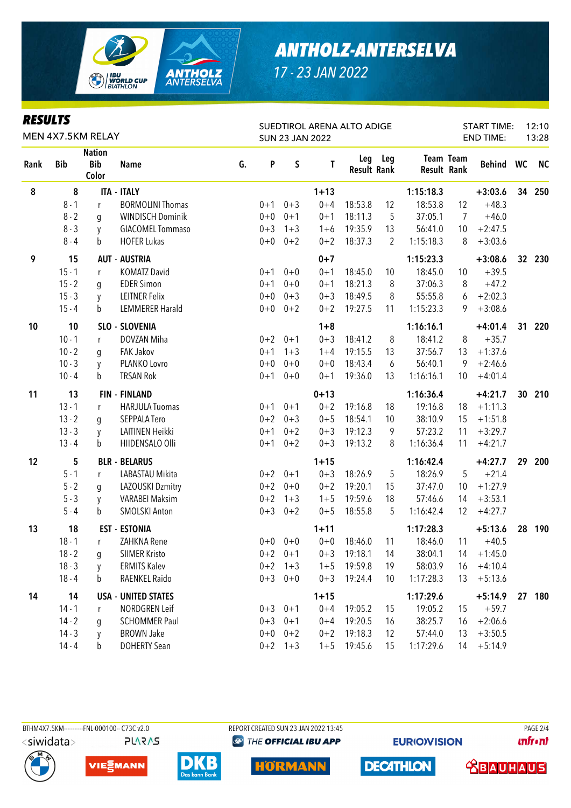

| <b>RESULTS</b><br>MEN 4X7.5KM RELAY |            |                                      |                            |    |         |           | <b>SUN 23 JAN 2022</b> | SUEDTIROL ARENA ALTO ADIGE |         |             |                  | <b>START TIME:</b><br><b>END TIME:</b> |    | 12:10<br>13:28 |
|-------------------------------------|------------|--------------------------------------|----------------------------|----|---------|-----------|------------------------|----------------------------|---------|-------------|------------------|----------------------------------------|----|----------------|
| Rank                                | <b>Bib</b> | <b>Nation</b><br><b>Bib</b><br>Color | <b>Name</b>                | G. | P       | S         | T                      | <b>Result Rank</b>         | Leg Leg | Result Rank | <b>Team Team</b> | <b>Behind</b>                          | WC | <b>NC</b>      |
| 8                                   | 8          |                                      | <b>ITA - ITALY</b>         |    |         |           | $1 + 13$               |                            |         | 1:15:18.3   |                  | $+3:03.6$                              | 34 | 250            |
|                                     | $8 - 1$    | $\mathsf{r}$                         | <b>BORMOLINI Thomas</b>    |    | $0 + 1$ | $0 + 3$   | $0 + 4$                | 18:53.8                    | 12      | 18:53.8     | 12               | $+48.3$                                |    |                |
|                                     | $8 - 2$    | q                                    | <b>WINDISCH Dominik</b>    |    | $0+0$   | $0 + 1$   | $0 + 1$                | 18:11.3                    | 5       | 37:05.1     | $\overline{7}$   | $+46.0$                                |    |                |
|                                     | $8 - 3$    | y                                    | <b>GIACOMEL Tommaso</b>    |    | $0 + 3$ | $1 + 3$   | $1 + 6$                | 19:35.9                    | 13      | 56:41.0     | 10               | $+2:47.5$                              |    |                |
|                                     | $8 - 4$    | b                                    | <b>HOFER Lukas</b>         |    | $0+0$   | $0 + 2$   | $0 + 2$                | 18:37.3                    | 2       | 1:15:18.3   | 8                | $+3:03.6$                              |    |                |
| 9                                   | 15         |                                      | <b>AUT - AUSTRIA</b>       |    |         |           | $0 + 7$                |                            |         | 1:15:23.3   |                  | $+3:08.6$                              |    | 32 230         |
|                                     | $15 - 1$   | $\mathsf{r}$                         | <b>KOMATZ David</b>        |    | $0 + 1$ | $0 + 0$   | $0 + 1$                | 18:45.0                    | 10      | 18:45.0     | 10               | $+39.5$                                |    |                |
|                                     | $15 - 2$   | g                                    | <b>EDER Simon</b>          |    | $0 + 1$ | $0 + 0$   | $0 + 1$                | 18:21.3                    | 8       | 37:06.3     | 8                | $+47.2$                                |    |                |
|                                     | $15 - 3$   | y                                    | <b>LEITNER Felix</b>       |    | $0+0$   | $0 + 3$   | $0 + 3$                | 18:49.5                    | 8       | 55:55.8     | 6                | $+2:02.3$                              |    |                |
|                                     | $15 - 4$   | b                                    | <b>LEMMERER Harald</b>     |    | $0+0$   | $0 + 2$   | $0 + 2$                | 19:27.5                    | 11      | 1:15:23.3   | 9                | $+3:08.6$                              |    |                |
| 10                                  | 10         |                                      | SLO - SLOVENIA             |    |         |           | $1 + 8$                |                            |         | 1:16:16.1   |                  | $+4:01.4$                              | 31 | 220            |
|                                     | $10 - 1$   | r                                    | DOVZAN Miha                |    | $0 + 2$ | $0 + 1$   | $0 + 3$                | 18:41.2                    | 8       | 18:41.2     | 8                | $+35.7$                                |    |                |
|                                     | $10 - 2$   | q                                    | <b>FAK Jakov</b>           |    | $0 + 1$ | $1 + 3$   | $1 + 4$                | 19:15.5                    | 13      | 37:56.7     | 13               | $+1:37.6$                              |    |                |
|                                     | $10 - 3$   | y                                    | PLANKO Lovro               |    | $0 + 0$ | $0 + 0$   | $0 + 0$                | 18:43.4                    | 6       | 56:40.1     | 9                | $+2:46.6$                              |    |                |
|                                     | $10 - 4$   | b                                    | <b>TRSAN Rok</b>           |    | $0 + 1$ | $0 + 0$   | $0 + 1$                | 19:36.0                    | 13      | 1:16:16.1   | 10               | $+4:01.4$                              |    |                |
| 11                                  | 13         |                                      | <b>FIN - FINLAND</b>       |    |         |           | $0 + 13$               |                            |         | 1:16:36.4   |                  | $+4:21.7$                              | 30 | 210            |
|                                     | $13 - 1$   | r                                    | <b>HARJULA Tuomas</b>      |    | $0 + 1$ | $0 + 1$   | $0 + 2$                | 19:16.8                    | 18      | 19:16.8     | 18               | $+1:11.3$                              |    |                |
|                                     | $13 - 2$   | q                                    | SEPPALA Tero               |    | $0 + 2$ | $0 + 3$   | $0 + 5$                | 18:54.1                    | 10      | 38:10.9     | 15               | $+1:51.8$                              |    |                |
|                                     | $13 - 3$   | y                                    | LAITINEN Heikki            |    | $0 + 1$ | $0 + 2$   | $0 + 3$                | 19:12.3                    | 9       | 57:23.2     | 11               | $+3:29.7$                              |    |                |
|                                     | $13 - 4$   | b                                    | HIIDENSALO Olli            |    | $0 + 1$ | $0 + 2$   | $0 + 3$                | 19:13.2                    | 8       | 1:16:36.4   | 11               | $+4:21.7$                              |    |                |
| 12                                  | 5          |                                      | <b>BLR - BELARUS</b>       |    |         |           | $1 + 15$               |                            |         | 1:16:42.4   |                  | $+4:27.7$                              | 29 | 200            |
|                                     | $5 - 1$    | r                                    | LABASTAU Mikita            |    | $0 + 2$ | $0 + 1$   | $0 + 3$                | 18:26.9                    | 5       | 18:26.9     | 5                | $+21.4$                                |    |                |
|                                     | $5 - 2$    | g                                    | LAZOUSKI Dzmitry           |    | $0 + 2$ | $0 + 0$   | $0 + 2$                | 19:20.1                    | 15      | 37:47.0     | 10               | $+1:27.9$                              |    |                |
|                                     | $5 - 3$    | y                                    | <b>VARABEI Maksim</b>      |    | $0 + 2$ | $1 + 3$   | $1 + 5$                | 19:59.6                    | 18      | 57:46.6     | 14               | $+3:53.1$                              |    |                |
|                                     | $5 - 4$    | b                                    | <b>SMOLSKI Anton</b>       |    | $0 + 3$ | $0 + 2$   | $0 + 5$                | 18:55.8                    | 5       | 1:16:42.4   | 12               | $+4:27.7$                              |    |                |
| 13                                  | 18         |                                      | <b>EST - ESTONIA</b>       |    |         |           | $1 + 11$               |                            |         | 1:17:28.3   |                  | $+5:13.6$                              |    | 28 190         |
|                                     | $18 - 1$   | $\mathbf{r}$                         | ZAHKNA Rene                |    | $0+0$   | $0 + 0$   | $0+0$                  | 18:46.0                    | 11      | 18:46.0     | 11               | $+40.5$                                |    |                |
|                                     | $18 - 2$   | g                                    | SIIMER Kristo              |    | $0 + 2$ | $0 + 1$   | $0 + 3$                | 19:18.1                    | 14      | 38:04.1     | 14               | $+1:45.0$                              |    |                |
|                                     | $18 - 3$   | V                                    | <b>ERMITS Kalev</b>        |    | $0 + 2$ | $1 + 3$   | $1 + 5$                | 19:59.8                    | 19      | 58:03.9     | 16               | $+4:10.4$                              |    |                |
|                                     | $18 - 4$   | b                                    | RAENKEL Raido              |    | $0 + 3$ | $0 + 0$   | $0 + 3$                | 19:24.4                    | 10      | 1:17:28.3   | 13               | $+5:13.6$                              |    |                |
| 14                                  | 14         |                                      | <b>USA - UNITED STATES</b> |    |         |           | $1 + 15$               |                            |         | 1:17:29.6   |                  | $+5:14.9$                              | 27 | 180            |
|                                     | $14 - 1$   | r                                    | NORDGREN Leif              |    | $0 + 3$ | $0 + 1$   | $0 + 4$                | 19:05.2                    | 15      | 19:05.2     | 15               | $+59.7$                                |    |                |
|                                     | $14 - 2$   | g                                    | <b>SCHOMMER Paul</b>       |    | $0 + 3$ | $0 + 1$   | $0 + 4$                | 19:20.5                    | 16      | 38:25.7     | 16               | $+2:06.6$                              |    |                |
|                                     | $14 - 3$   | y                                    | <b>BROWN Jake</b>          |    | $0+0$   | $0 + 2$   | $0 + 2$                | 19:18.3                    | 12      | 57:44.0     | 13               | $+3:50.5$                              |    |                |
|                                     | $14 - 4$   | b                                    | <b>DOHERTY Sean</b>        |    |         | $0+2$ 1+3 |                        | $1+5$ 19:45.6              | 15      | 1:17:29.6   | 14               | $+5:14.9$                              |    |                |

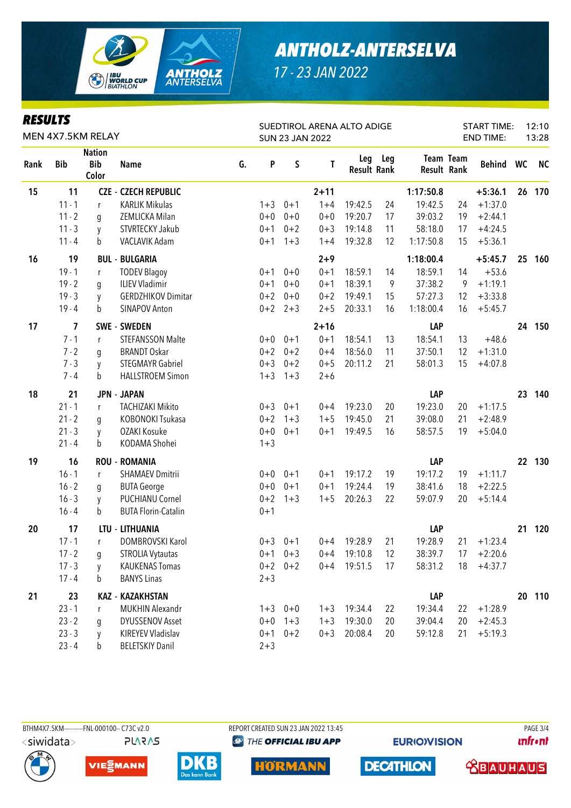

| <b>RESULTS</b><br>MEN 4X7.5KM RELAY |            |                                      |                             |    |         |             | <b>SUN 23 JAN 2022</b> | SUEDTIROL ARENA ALTO ADIGE |         |                    | <b>START TIME:</b> | 12:10<br>13:28 |    |           |
|-------------------------------------|------------|--------------------------------------|-----------------------------|----|---------|-------------|------------------------|----------------------------|---------|--------------------|--------------------|----------------|----|-----------|
| Rank                                | <b>Bib</b> | <b>Nation</b><br><b>Bib</b><br>Color | <b>Name</b>                 | G. | P       | $\sf S$     | T                      | <b>Result Rank</b>         | Leg Leg | <b>Result Rank</b> | Team Team          | Behind WC      |    | <b>NC</b> |
| 15                                  | 11         |                                      | <b>CZE - CZECH REPUBLIC</b> |    |         |             | $2 + 11$               |                            |         | 1:17:50.8          |                    | $+5:36.1$      | 26 | 170       |
|                                     | $11 - 1$   | r                                    | <b>KARLIK Mikulas</b>       |    | $1 + 3$ | $0 + 1$     | $1 + 4$                | 19:42.5                    | 24      | 19:42.5            | 24                 | $+1:37.0$      |    |           |
|                                     | $11 - 2$   | g                                    | ZEMLICKA Milan              |    | $0+0$   | $0 + 0$     | $0 + 0$                | 19:20.7                    | 17      | 39:03.2            | 19                 | $+2:44.1$      |    |           |
|                                     | $11 - 3$   | y                                    | STVRTECKY Jakub             |    | $0 + 1$ | $0 + 2$     | $0 + 3$                | 19:14.8                    | 11      | 58:18.0            | 17                 | $+4:24.5$      |    |           |
|                                     | $11 - 4$   | b                                    | VACLAVIK Adam               |    | $0 + 1$ | $1 + 3$     | $1 + 4$                | 19:32.8                    | 12      | 1:17:50.8          | 15                 | $+5:36.1$      |    |           |
| 16                                  | 19         |                                      | <b>BUL - BULGARIA</b>       |    |         |             | $2 + 9$                |                            |         | 1:18:00.4          |                    | $+5:45.7$      | 25 | 160       |
|                                     | $19 - 1$   | $\mathsf{r}$                         | <b>TODEV Blagoy</b>         |    | $0 + 1$ | $0 + 0$     | $0 + 1$                | 18:59.1                    | 14      | 18:59.1            | 14                 | $+53.6$        |    |           |
|                                     | $19 - 2$   | g                                    | <b>ILIEV Vladimir</b>       |    | $0 + 1$ | $0 + 0$     | $0 + 1$                | 18:39.1                    | 9       | 37:38.2            | 9                  | $+1:19.1$      |    |           |
|                                     | $19 - 3$   | y                                    | <b>GERDZHIKOV Dimitar</b>   |    | $0 + 2$ | $0 + 0$     | $0 + 2$                | 19:49.1                    | 15      | 57:27.3            | 12                 | $+3:33.8$      |    |           |
|                                     | $19 - 4$   | b                                    | <b>SINAPOV Anton</b>        |    |         | $0+2$ 2+3   | $2 + 5$                | 20:33.1                    | 16      | 1:18:00.4          | 16                 | $+5:45.7$      |    |           |
| 17                                  | 7          |                                      | <b>SWE - SWEDEN</b>         |    |         |             | $2 + 16$               |                            |         | LAP                |                    |                |    | 24 150    |
|                                     | $7 - 1$    | r                                    | <b>STEFANSSON Malte</b>     |    | $0+0$   | $0 + 1$     | $0 + 1$                | 18:54.1                    | 13      | 18:54.1            | 13                 | $+48.6$        |    |           |
|                                     | $7 - 2$    | g                                    | <b>BRANDT Oskar</b>         |    | $0 + 2$ | $0 + 2$     | $0 + 4$                | 18:56.0                    | 11      | 37:50.1            | 12                 | $+1:31.0$      |    |           |
|                                     | $7 - 3$    | y                                    | <b>STEGMAYR Gabriel</b>     |    | $0 + 3$ | $0 + 2$     | $0 + 5$                | 20:11.2                    | 21      | 58:01.3            | 15                 | $+4:07.8$      |    |           |
|                                     | $7 - 4$    | b                                    | <b>HALLSTROEM Simon</b>     |    | $1 + 3$ | $1 + 3$     | $2 + 6$                |                            |         |                    |                    |                |    |           |
| 18                                  | 21         |                                      | <b>JPN - JAPAN</b>          |    |         |             |                        |                            |         | LAP                |                    |                | 23 | 140       |
|                                     | $21 - 1$   | r                                    | <b>TACHIZAKI Mikito</b>     |    | $0 + 3$ | $0 + 1$     | $0 + 4$                | 19:23.0                    | 20      | 19:23.0            | 20                 | $+1:17.5$      |    |           |
|                                     | $21 - 2$   | g                                    | KOBONOKI Tsukasa            |    | $0 + 2$ | $1 + 3$     | $1 + 5$                | 19:45.0                    | 21      | 39:08.0            | 21                 | $+2:48.9$      |    |           |
|                                     | $21 - 3$   | y                                    | OZAKI Kosuke                |    | $0 + 0$ | $0 + 1$     | $0 + 1$                | 19:49.5                    | 16      | 58:57.5            | 19                 | $+5:04.0$      |    |           |
|                                     | $21 - 4$   | b                                    | KODAMA Shohei               |    | $1 + 3$ |             |                        |                            |         |                    |                    |                |    |           |
| 19                                  | 16         |                                      | <b>ROU - ROMANIA</b>        |    |         |             |                        |                            |         | LAP                |                    |                | 22 | 130       |
|                                     | $16 - 1$   | $\mathsf{r}$                         | <b>SHAMAEV Dmitrii</b>      |    | $0+0$   | $0 + 1$     | $0 + 1$                | 19:17.2                    | 19      | 19:17.2            | 19                 | $+1:11.7$      |    |           |
|                                     | $16 - 2$   | g                                    | <b>BUTA George</b>          |    | $0+0$   | $0 + 1$     | $0 + 1$                | 19:24.4                    | 19      | 38:41.6            | 18                 | $+2:22.5$      |    |           |
|                                     | $16 - 3$   | y                                    | PUCHIANU Cornel             |    | $0 + 2$ | $1 + 3$     | $1 + 5$                | 20:26.3                    | 22      | 59:07.9            | 20                 | $+5:14.4$      |    |           |
|                                     | $16 - 4$   | b                                    | <b>BUTA Florin-Catalin</b>  |    | $0 + 1$ |             |                        |                            |         |                    |                    |                |    |           |
| 20                                  | 17         |                                      | LTU - LITHUANIA             |    |         |             |                        |                            |         | LAP                |                    |                | 21 | 120       |
|                                     | $17 - 1$   | r.                                   | DOMBROVSKI Karol            |    |         | $0+3$ 0+1   | $0 + 4$                | 19:28.9                    | 21      | 19:28.9            | 21                 | $+1:23.4$      |    |           |
|                                     | $17 - 2$   | g                                    | STROLIA Vytautas            |    |         | $0+1$ $0+3$ |                        | $0+4$ 19:10.8              | 12      | 38:39.7            | 17                 | $+2:20.6$      |    |           |
|                                     | $17 - 3$   | y                                    | <b>KAUKENAS Tomas</b>       |    |         | $0+2$ $0+2$ | $0 + 4$                | 19:51.5                    | 17      | 58:31.2            | 18                 | $+4:37.7$      |    |           |
|                                     | $17 - 4$   | b                                    | <b>BANYS Linas</b>          |    | $2 + 3$ |             |                        |                            |         |                    |                    |                |    |           |
| 21                                  | 23         |                                      | <b>KAZ - KAZAKHSTAN</b>     |    |         |             |                        |                            |         | LAP                |                    |                |    | 20 110    |
|                                     | $23 - 1$   | r                                    | <b>MUKHIN Alexandr</b>      |    |         | $1+3$ 0+0   | $1 + 3$                | 19:34.4                    | 22      | 19:34.4            | 22                 | $+1:28.9$      |    |           |
|                                     | $23 - 2$   | q                                    | <b>DYUSSENOV Asset</b>      |    | $0+0$   | $1 + 3$     | $1 + 3$                | 19:30.0                    | 20      | 39:04.4            | 20                 | $+2:45.3$      |    |           |
|                                     | $23 - 3$   | y                                    | KIREYEV Vladislav           |    |         | $0+1$ $0+2$ | $0 + 3$                | 20:08.4                    | 20      | 59:12.8            | 21                 | $+5:19.3$      |    |           |
|                                     | $23 - 4$   | $\mathbf b$                          | <b>BELETSKIY Danil</b>      |    | $2 + 3$ |             |                        |                            |         |                    |                    |                |    |           |